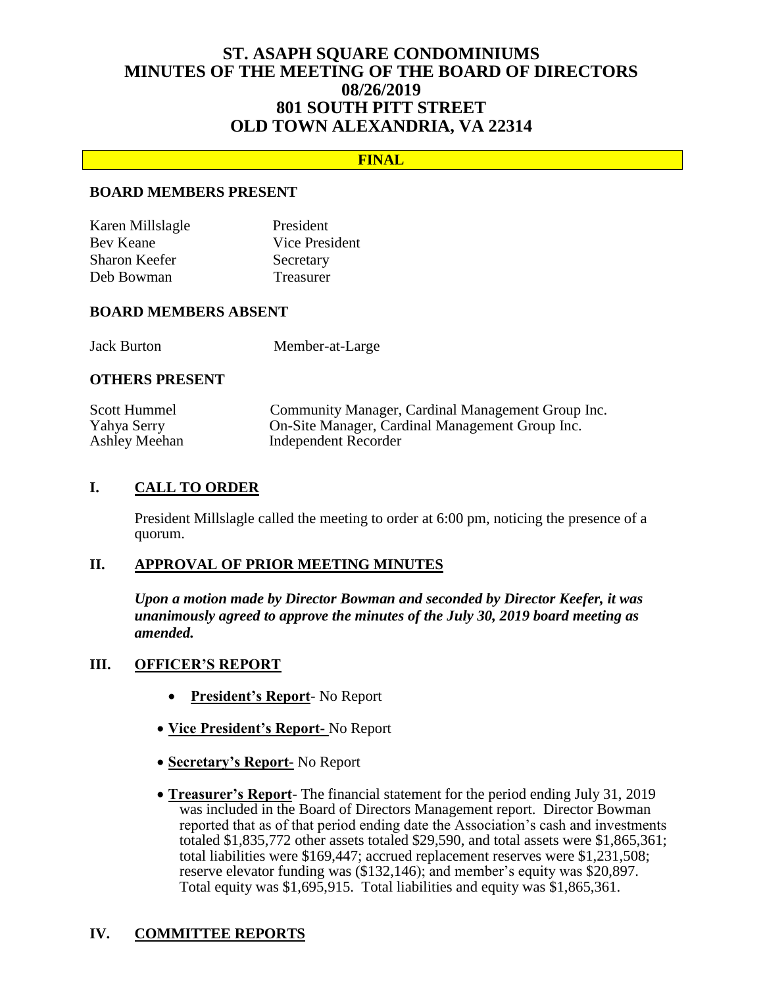# **ST. ASAPH SQUARE CONDOMINIUMS MINUTES OF THE MEETING OF THE BOARD OF DIRECTORS 08/26/2019 801 SOUTH PITT STREET OLD TOWN ALEXANDRIA, VA 22314**

### **FINAL**

#### **BOARD MEMBERS PRESENT**

| Karen Millslagle | President        |
|------------------|------------------|
| Bev Keane        | Vice President   |
| Sharon Keefer    | Secretary        |
| Deb Bowman       | <b>Treasurer</b> |

#### **BOARD MEMBERS ABSENT**

Jack Burton Member-at-Large

#### **OTHERS PRESENT**

| Scott Hummel  | Community Manager, Cardinal Management Group Inc. |
|---------------|---------------------------------------------------|
| Yahya Serry   | On-Site Manager, Cardinal Management Group Inc.   |
| Ashley Meehan | Independent Recorder                              |

### **I. CALL TO ORDER**

President Millslagle called the meeting to order at 6:00 pm, noticing the presence of a quorum.

### **II. APPROVAL OF PRIOR MEETING MINUTES**

*Upon a motion made by Director Bowman and seconded by Director Keefer, it was unanimously agreed to approve the minutes of the July 30, 2019 board meeting as amended.*

#### **III. OFFICER'S REPORT**

- **President's Report** No Report
- **Vice President's Report-** No Report
- **Secretary's Report-** No Report
- **Treasurer's Report** The financial statement for the period ending July 31, 2019 was included in the Board of Directors Management report. Director Bowman reported that as of that period ending date the Association's cash and investments totaled \$1,835,772 other assets totaled \$29,590, and total assets were \$1,865,361; total liabilities were \$169,447; accrued replacement reserves were \$1,231,508; reserve elevator funding was (\$132,146); and member's equity was \$20,897. Total equity was \$1,695,915. Total liabilities and equity was \$1,865,361.

## **IV. COMMITTEE REPORTS**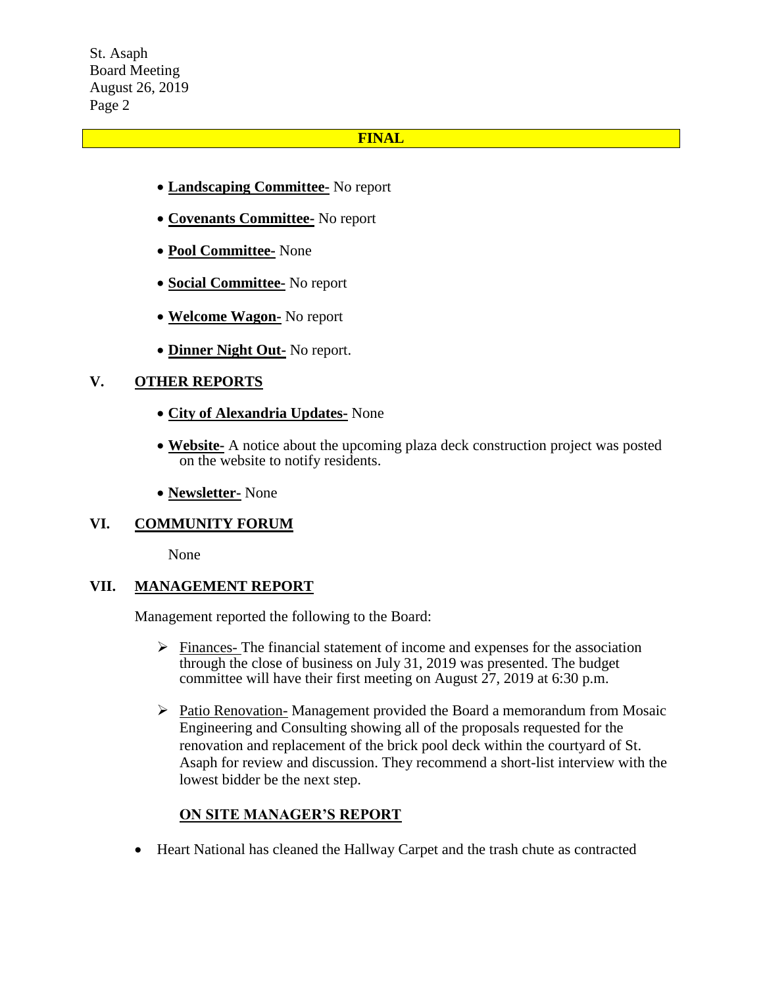St. Asaph Board Meeting August 26, 2019 Page 2

#### **FINAL**

- **Landscaping Committee-** No report
- **Covenants Committee-** No report
- **Pool Committee-** None
- **Social Committee-** No report
- **Welcome Wagon-** No report
- **Dinner Night Out-** No report.

## **V. OTHER REPORTS**

- **City of Alexandria Updates-** None
- **Website-** A notice about the upcoming plaza deck construction project was posted on the website to notify residents.
- **Newsletter-** None

## **VI. COMMUNITY FORUM**

None

## **VII. MANAGEMENT REPORT**

Management reported the following to the Board:

- $\triangleright$  Finances- The financial statement of income and expenses for the association through the close of business on July 31, 2019 was presented. The budget committee will have their first meeting on August 27, 2019 at 6:30 p.m.
- $\triangleright$  Patio Renovation-Management provided the Board a memorandum from Mosaic Engineering and Consulting showing all of the proposals requested for the renovation and replacement of the brick pool deck within the courtyard of St. Asaph for review and discussion. They recommend a short-list interview with the lowest bidder be the next step.

## **ON SITE MANAGER'S REPORT**

Heart National has cleaned the Hallway Carpet and the trash chute as contracted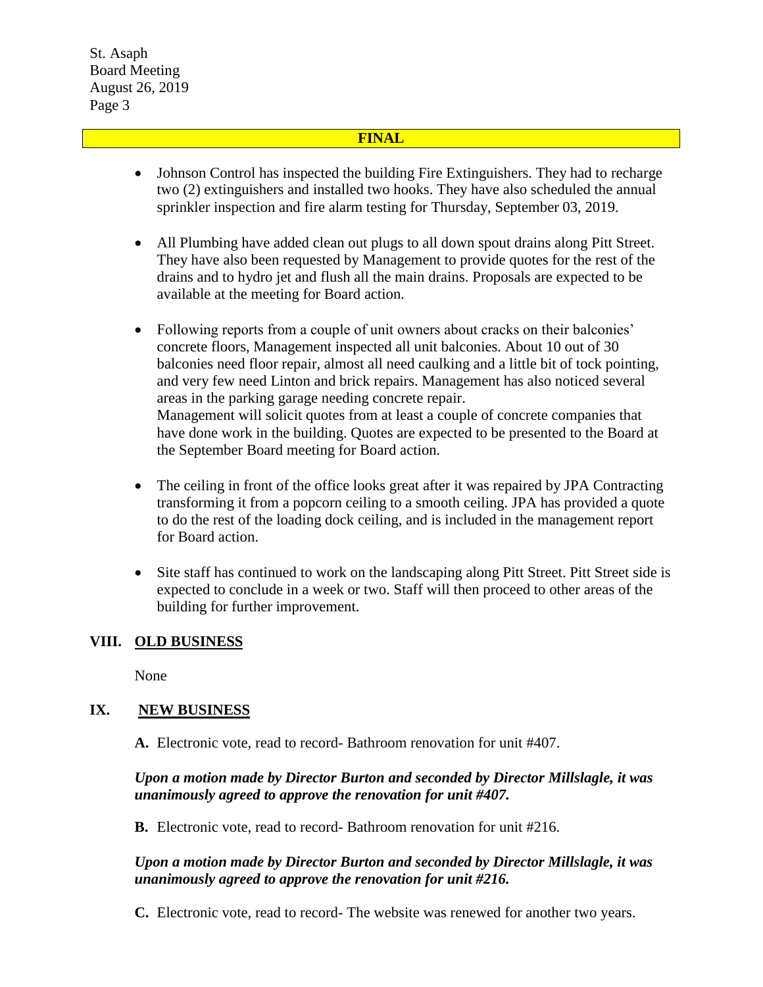St. Asaph Board Meeting August 26, 2019 Page 3

#### **FINAL**

- Johnson Control has inspected the building Fire Extinguishers. They had to recharge two (2) extinguishers and installed two hooks. They have also scheduled the annual sprinkler inspection and fire alarm testing for Thursday, September 03, 2019.
- All Plumbing have added clean out plugs to all down spout drains along Pitt Street. They have also been requested by Management to provide quotes for the rest of the drains and to hydro jet and flush all the main drains. Proposals are expected to be available at the meeting for Board action.
- Following reports from a couple of unit owners about cracks on their balconies' concrete floors, Management inspected all unit balconies. About 10 out of 30 balconies need floor repair, almost all need caulking and a little bit of tock pointing, and very few need Linton and brick repairs. Management has also noticed several areas in the parking garage needing concrete repair. Management will solicit quotes from at least a couple of concrete companies that have done work in the building. Quotes are expected to be presented to the Board at the September Board meeting for Board action.
- The ceiling in front of the office looks great after it was repaired by JPA Contracting transforming it from a popcorn ceiling to a smooth ceiling. JPA has provided a quote to do the rest of the loading dock ceiling, and is included in the management report for Board action.
- Site staff has continued to work on the landscaping along Pitt Street. Pitt Street side is expected to conclude in a week or two. Staff will then proceed to other areas of the building for further improvement.

#### **VIII. OLD BUSINESS**

None

## **IX. NEW BUSINESS**

**A.** Electronic vote, read to record- Bathroom renovation for unit #407.

### *Upon a motion made by Director Burton and seconded by Director Millslagle, it was unanimously agreed to approve the renovation for unit #407.*

**B.** Electronic vote, read to record- Bathroom renovation for unit #216.

### *Upon a motion made by Director Burton and seconded by Director Millslagle, it was unanimously agreed to approve the renovation for unit #216.*

**C.** Electronic vote, read to record- The website was renewed for another two years.